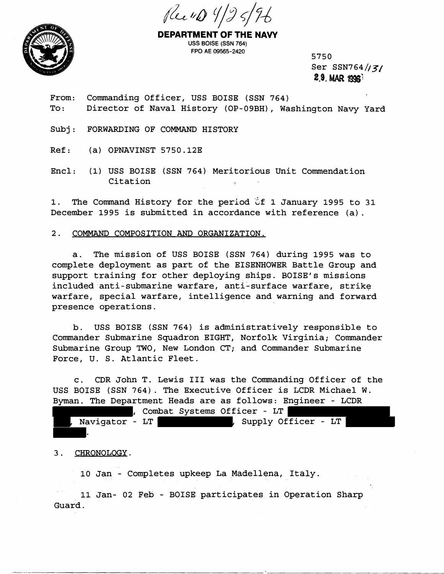



**DEPARTMENT OF THE NAW**  USS BOISE (SSN 764) FPO AE 09565-2420 5750

Ser SSN764//3/ 2.9, **MAR** lg96'

From: Commanding Officer, USS BOISE (SSN 764) To: Director of Naval History (OP-09BH), Washington Navy Yard

Subj: FORWARDING OF COMMAND HISTORY

Ref: (a) OPNAVINST 5750.12E

Encl: (1) USS BOISE (SSN 764) Meritorious Unit Commendation Citation

1. The Command History for the period of 1 January 1995 to 31 December 1995 is submitted in accordance with reference (a).

## 2. COMMAND COMPOSITION AND ORGANIZATION.

a. The mission of USS BOISE (SSN 764) during 1995 was to complete deployment as part of the EISENHOWER Battle Group and support training for other deploying ships. BOISE'S missions included anti-submarine warfare, anti-surface warfare, strike warfare, special warfare, intelligence and warning and forward presence operations.

b. USS BOISE (SSN 764) is administratively responsible to Commander Submarine Squadron EIGHT, Norfolk Virginia; Commander Submarine Group TWO, New London CT; and Commander Submarine Force, U. S. Atlantic Fleet.

c. CDR John T. Lewis I11 was the Commanding Officer of the USS BOISE (SSN 764). The Executive Officer is LCDR Michael W. Byman. The Department Heads are as follows: Engineer - LCDR

, Combat Systems Officer - LT , Supply Officer - LT Navigator - LT

## 3. CHRONOLOGY.

10 Jan - Completes upkeep La Madellena, Italy.

11 Jan- 02 Feb - BOISE participates in Operation Sharp Guard.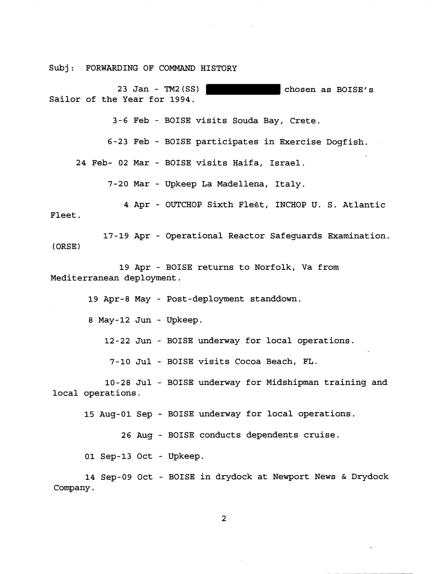Subj: FORWARDING OF COMMAND HISTORY

23 Jan - TM2(SS) chosen as BOISE'S Sailor of the Year for 1994.

3-6 Feb - BOISE visits Souda Bay, Crete.

6-23 Feb - BOISE participates in Exercise Dogfish.

 $\mathcal{A}^{\mathcal{A}}$  and  $\mathcal{A}^{\mathcal{A}}$  are the set of the set of  $\mathcal{A}^{\mathcal{A}}$ 

24 Feb- 02 Mar - BOISE visits Haifa, Israel.

7-20 Mar - Upkeep La Madellena, Italy.

**4** Apr - OUTCHOP Sixth Flegt, INCHOP U. S. Atlantic Fleet.

17-19 Apr - Operational Reactor Safeguards Examination. ( ORSE)

19 Apr - BOISE returns to Norfolk, Va from Mediterranean deployment.

19 Apr-8 May - Post-deployment standdown.

8 May-12 Jun - Upkeep.

12-22 Jun - BOISE underway for local operations.

7-10 Jul - BOISE visits Cocoa Beach, FL.

10-28 Jul - BOISE underway for Midshipman training and local operations.

15 Aug-01 Sep - BOISE underway for local operations.

26 Aug - BOISE conducts dependents cruise.

01 Sep-13 Oct - Upkeep.

14 Sep-09 Oct - BOISE in drydock at Newport News & Drydock Company.

 $\overline{2}$